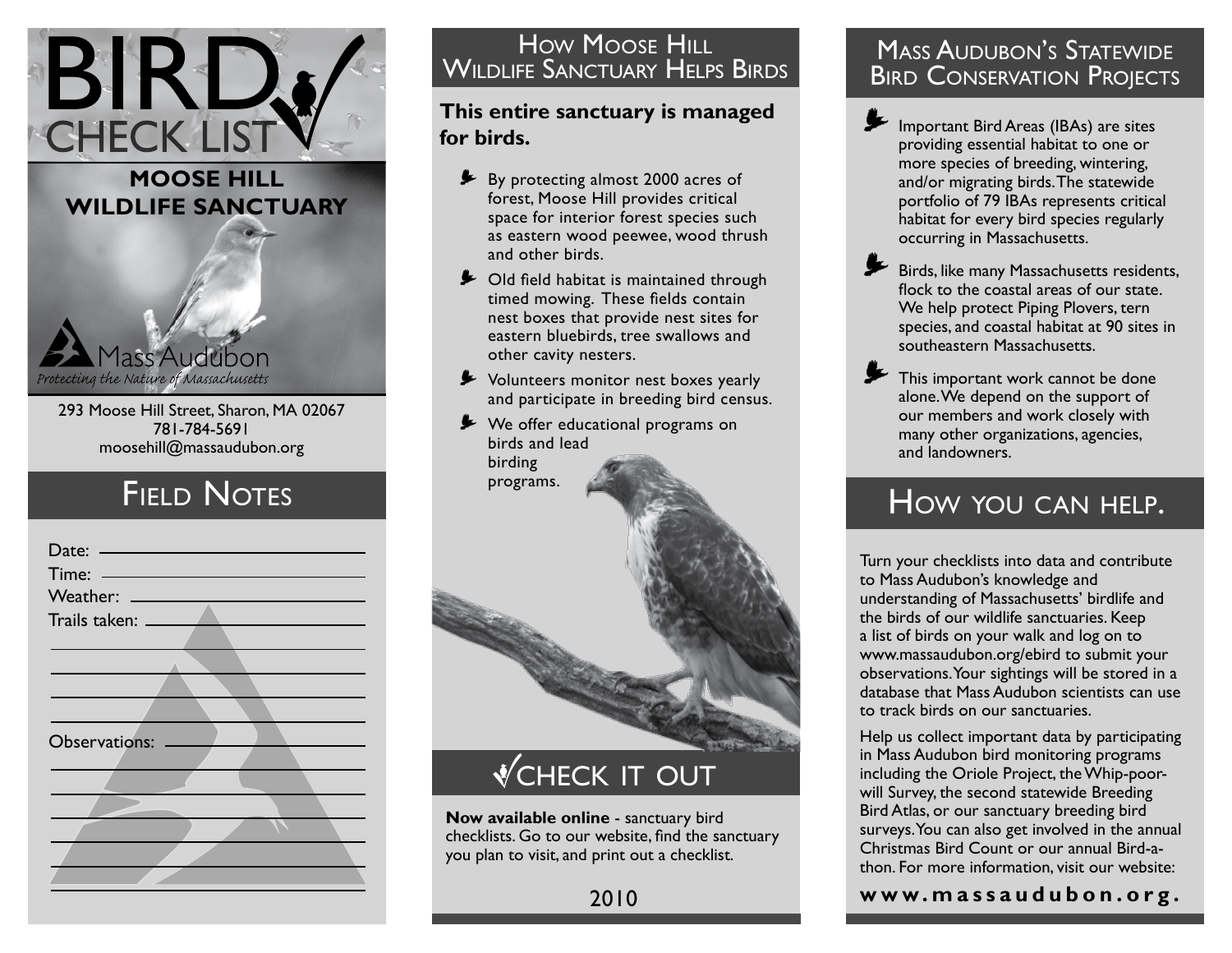### **moose hill Wildlife Sanctuary**

BIRD.

Protecting the Nature of Massachusetts 293 Moose Hill Street, Sharon, MA 02067

781-784-5691 moosehill@massaudubon.org

lass Audubon

## **FIELD NOTES**



#### Mudiff Sanctijary Heips Bird<br>Mildliff Sanctijary Heips Bird **BIRD CONSERVATION PROJECTS** How Moose HILL Wildlife Sanctuary Helps Birds

### **This entire sanctuary is managed for birds.**

- **Example 2000 EV By protecting almost 2000 acres of** forest, Moose Hill provides critical space for interior forest species such as eastern wood peewee, wood thrush and other birds.
- **►** Old field habitat is maintained through timed mowing. These fields contain nest boxes that provide nest sites for eastern bluebirds, tree swallows and other cavity nesters.
- Volunteers monitor nest boxes yearly < and participate in breeding bird census.
- ► We offer educational programs on birds and lead birding programs.



# **VCHECK IT OUT**

**Now available online** - sanctuary bird checklists. Go to our website, find the sanctuary you plan to visit, and print out a checklist.

### **MASS AUDUBON'S STATEWIDE** Bird Conservation Projects

Important Bird Areas (IBAs) are sites providing essential habitat to one or more species of breeding, wintering, and/or migrating birds. The statewide portfolio of 79 IBAs represents critical habitat for every bird species regularly occurring in Massachusetts.  $\overline{\phantom{a}}$ 

Birds, like many Massachusetts residents, flock to the coastal areas of our state. We help protect Piping Plovers, tern species, and coastal habitat at 90 sites in southeastern Massachusetts.  $\overline{\phantom{a}}$ 

This important work cannot be done alone. We depend on the support of our members and work closely with many other organizations, agencies, and landowners.  $\overline{\phantom{a}}$ 

## How you can help.

Turn your checklists into data and contribute to Mass Audubon's knowledge and understanding of Massachusetts' birdlife and the birds of our wildlife sanctuaries. Keep a list of birds on your walk and log on to www.massaudubon.org/ebird to submit your observations. Your sightings will be stored in a database that Mass Audubon scientists can use to track birds on our sanctuaries.

Help us collect important data by participating in Mass Audubon bird monitoring programs including the Oriole Project, the Whip-poorwill Survey, the second statewide Breeding Bird Atlas, or our sanctuary breeding bird surveys. You can also get involved in the annual Christmas Bird Count or our annual Bird-athon. For more information, visit our website:

**w w w. m a s s a u d u b o n . o r g .**